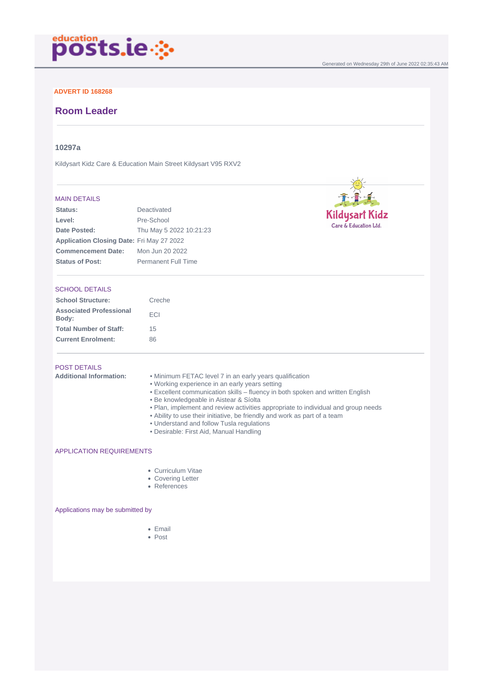

## **ADVERT ID 168268**

## **Room Leader**

### **10297a**

Kildysart Kidz Care & Education Main Street Kildysart V95 RXV2

#### MAIN DETAILS

| <b>Status:</b>                                   | Deactivated                |
|--------------------------------------------------|----------------------------|
| Level:                                           | Pre-School                 |
| Date Posted:                                     | Thu May 5 2022 10:21:23    |
| <b>Application Closing Date: Fri May 27 2022</b> |                            |
| <b>Commencement Date:</b>                        | Mon Jun 20 2022            |
| <b>Status of Post:</b>                           | <b>Permanent Full Time</b> |

#### SCHOOL DETAILS

| <b>School Structure:</b>                | Creche |
|-----------------------------------------|--------|
| <b>Associated Professional</b><br>Body: | FCI    |
| <b>Total Number of Staff:</b>           | 15     |
| <b>Current Enrolment:</b>               | 86     |

# POST DETAILS

**Additional Information:** • Minimum FETAC level 7 in an early years qualification

- Working experience in an early years setting
- Excellent communication skills fluency in both spoken and written English
- Be knowledgeable in Aistear & Síolta
- Plan, implement and review activities appropriate to individual and group needs

Generated on Wednesday 29th of June 2022 02:35:43 AM

Kildysart Kidz<br>Care & Education Ltd.

- Ability to use their initiative, be friendly and work as part of a team
- Understand and follow Tusla regulations
- Desirable: First Aid, Manual Handling

#### APPLICATION REQUIREMENTS

- Curriculum Vitae
- Covering Letter
- References

Applications may be submitted by

- Email
- Post